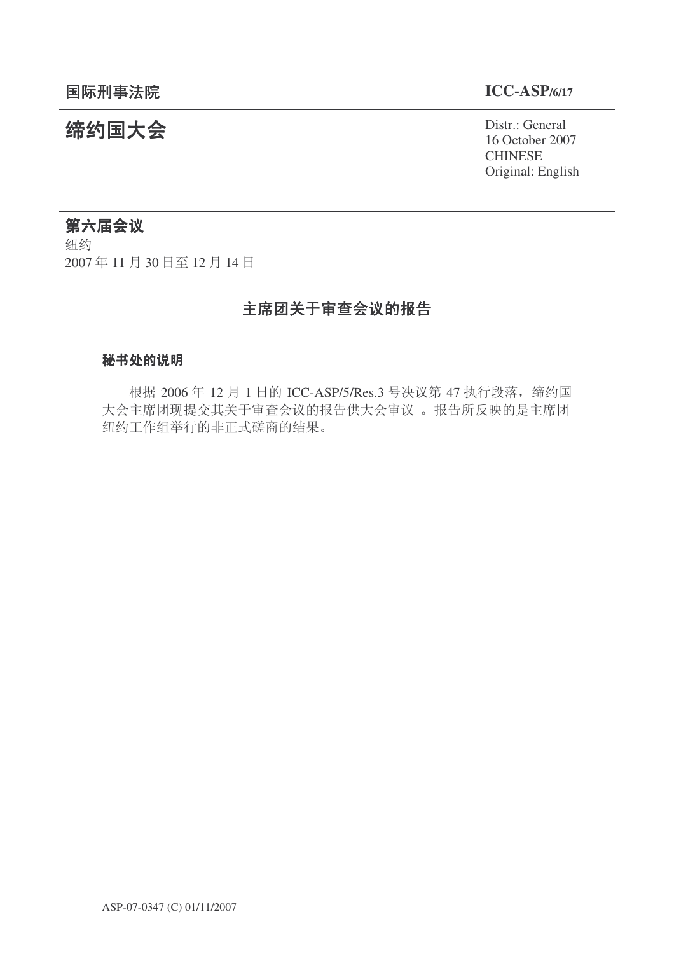16 October 2007 CHINESE Original: English

# 统约国大会 Pistra Part 2009 Pistr.: General

# 第六届会议

纽约 2007年11月30日至12月14日

# 主席团关于审查会议的报告

# 秘书处的说明

根据 2006年 12 月 1 日的 ICC-ASP/5/Res.3 号决议第 47 执行段落, 缔约国 大会主席团现提交其关于审查会议的报告供大会审议。报告所反映的是主席团 纽约工作组举行的非正式磋商的结果。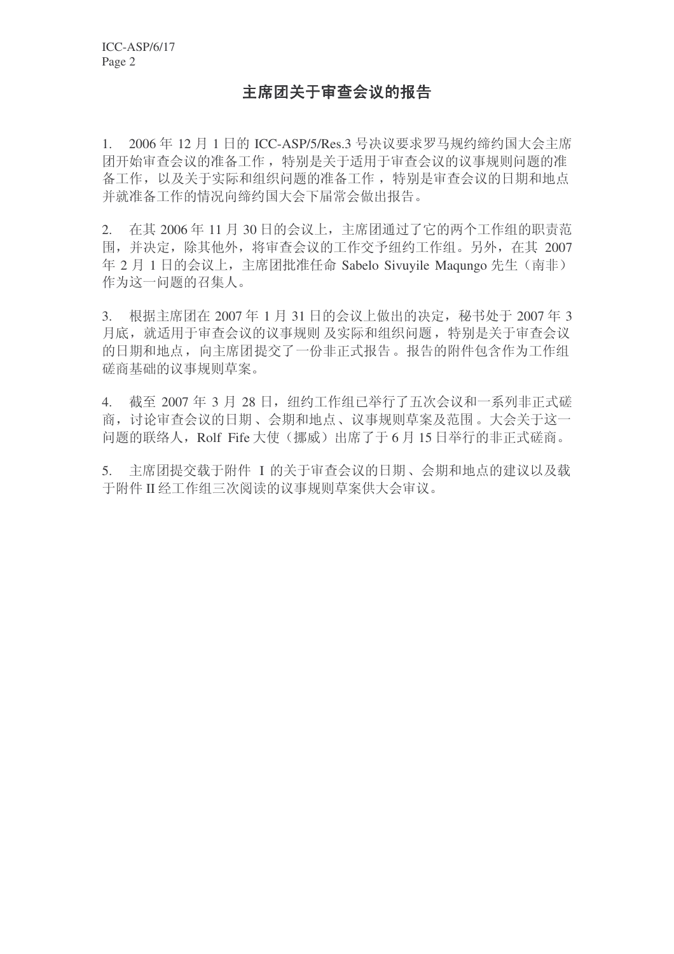# 主席团关于审查会议的报告

1. 2006年 12 月 1 日的 ICC-ASP/5/Res.3 号决议要求罗马规约缔约国大会主席 团开始审查会议的准备工作, 特别是关于适用于审查会议的议事规则问题的准 备工作, 以及关于实际和组织问题的准备工作, 特别是审查会议的日期和地点 并就准备工作的情况向缔约国大会下届常会做出报告。

2. 在其 2006年11月30日的会议上,主席团通过了它的两个工作组的职责范 围,并决定,除其他外,将审查会议的工作交予纽约工作组。另外,在其 2007 年 2 月 1 日的会议上, 主席团批准任命 Sabelo Sivuyile Maqungo 先生 (南非) 作为这一问题的召集人。

3. 根据主席团在 2007 年 1 月 31 日的会议上做出的决定, 秘书处于 2007 年 3 月底, 就活用于审查会议的议事规则 及实际和组织问题, 特别是关于审查会议 的日期和地点, 向主席团提交了一份非正式报告。报告的附件包含作为工作组 磋商基础的议事规则草案。

4. 截至 2007 年 3 月 28 日, 纽约工作组已举行了五次会议和一系列非正式磋 商, 讨论审查会议的日期、会期和地点、议事规则草案及范围。大会关于这一 问题的联络人, Rolf Fife 大使(挪威)出席了于6月15日举行的非正式磋商。

5. 主席团提交载于附件 I 的关于审查会议的日期、会期和地点的建议以及载 于附件 II 经工作组三次阅读的议事规则草案供大会审议。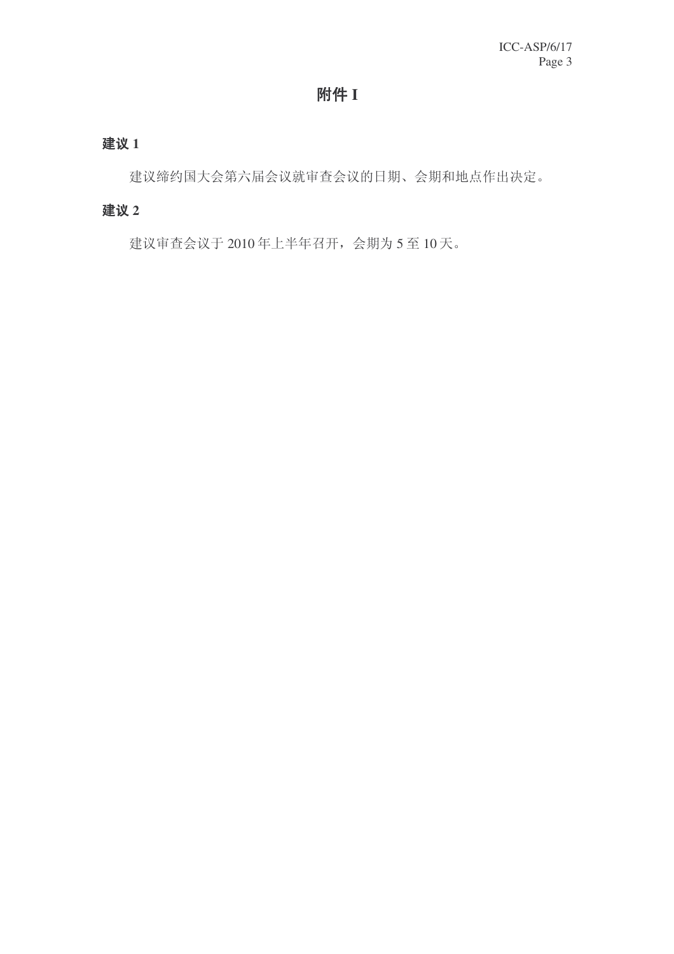# 附件 I

# 建议 1

建议缔约国大会第六届会议就审查会议的日期、会期和地点作出决定。

# 建议 2

建议审查会议于 2010 年上半年召开, 会期为 5 至 10 天。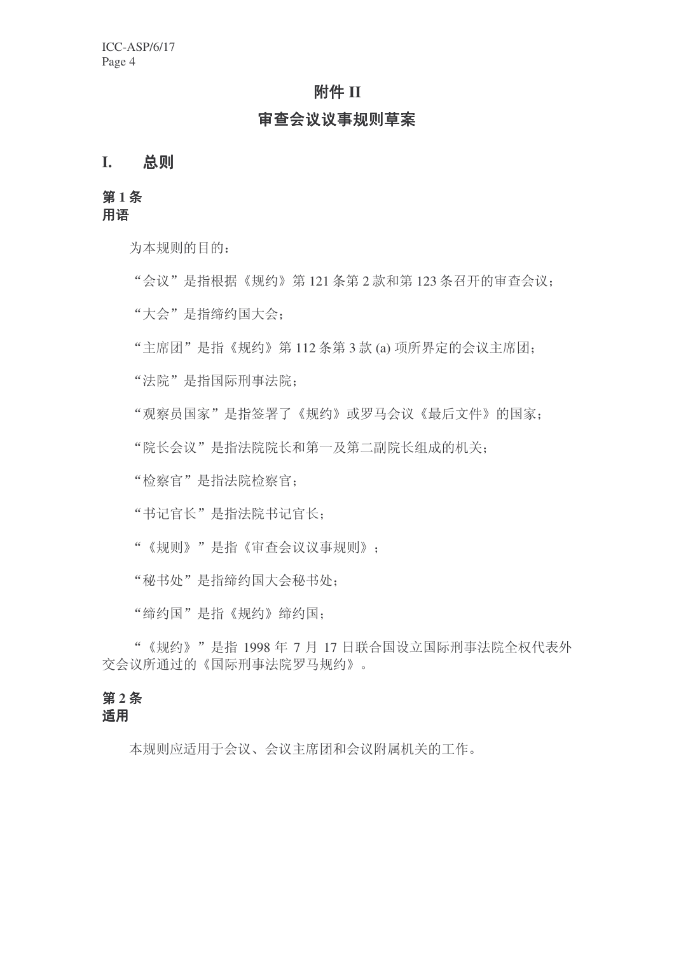# 附件 II

# 宙杳会议议事规则草案

# **I.** 总则

# 第1条 用语

为本规则的目的:

"会议"是指根据《规约》第121条第2款和第123条召开的审查会议;

"大会"是指缔约国大会:

"主席团"是指《规约》第112 条第3款 (a) 项所界定的会议主席团:

"法院"是指国际刑事法院:

"观察员国家"是指签署了《规约》或罗马会议《最后文件》的国家:

"院长会议"是指法院院长和第一及第二副院长组成的机关:

"检察官"是指法院检察官;

"书记官长"是指法院书记官长;

"《规则》"是指《审查会议议事规则》;

"秘书处"是指缔约国大会秘书处:

"缔约国"是指《规约》缔约国:

"《规约》"是指 1998 年 7 月 17 日联合国设立国际刑事法院全权代表外 交会议所通过的《国际刑事法院罗马规约》。

# 第2条

䗖⫼

本规则应适用于会议、会议主席团和会议附属机关的工作。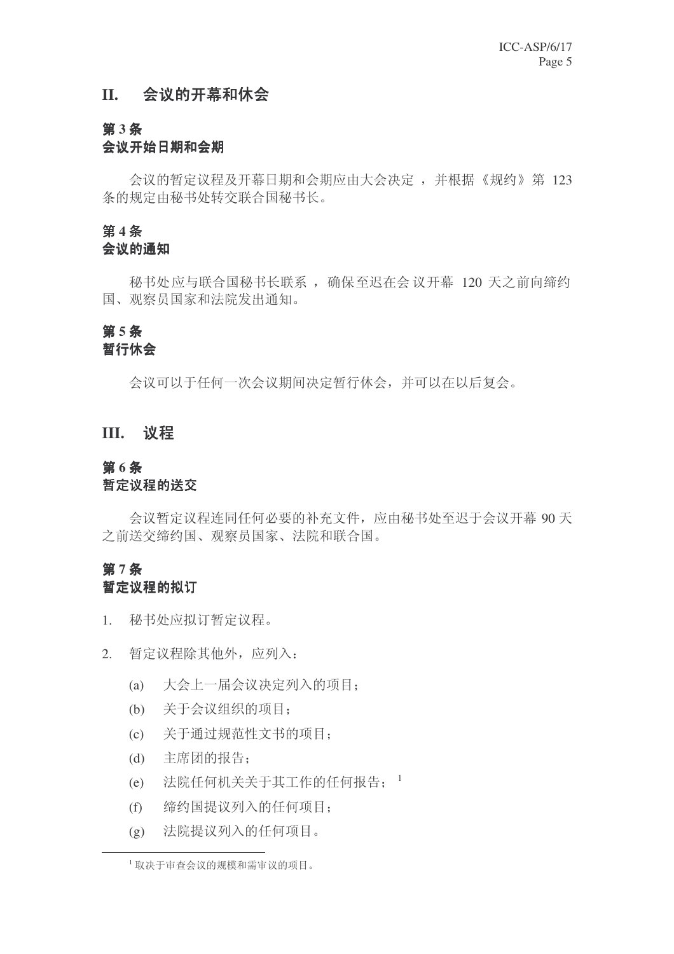# II. 会议的开幕和休会

# 第3条

# 会议开始日期和会期

会议的暂定议程及开幕日期和会期应由大会决定,并根据《规约》第 123 条的规定由秘书处转交联合国秘书长。

# 第4条

# 会议的通知

秘书处应与联合国秘书长联系, 确保至迟在会议开幕 120 天之前向缔约 国、观察员国家和法院发出通知。

# 第5条

# 暂行休会

会议可以于任何一次会议期间决定暂行休会,并可以在以后复会。

# **III.** 议程

# 第6条

### 暂定议程的送交

会议暂定议程连同任何必要的补充文件, 应由秘书处至迟干会议开幕 90天 之前送交缔约国、观察员国家、法院和联合国。

# 第7条 暂定议程的拟订

- 1. 秘书处应拟订暂定议程。
- 2. 暂定议程除其他外, 应列入:
	- (a) 大会上一届会议决定列入的项目;
	- (b) 关于会议组织的项目;
	- (c) 关于通过规范性文书的项目:
	- (d) 主席团的报告:
	- (e) 法院任何机关关于其工作的任何报告; 1
	- (f) 缔约国提议列入的任何项目;
	- (g) 法院提议列入的任何项目。

<sup>1</sup> 取决于宙杳会议的规模和需宙议的项目。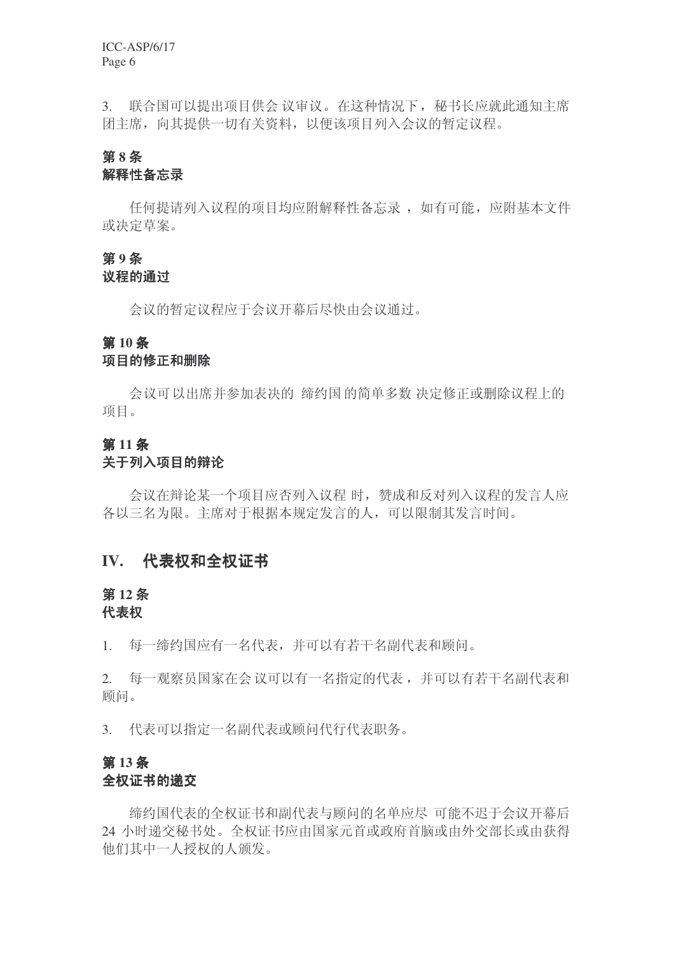3. 联合国可以提出项目供会议审议。在这种情况下, 秘书长应就此通知主席 团主席, 向其提供一切有关资料, 以便该项目列入会议的暂定议程。

# 第8条 解释性备忘录

任何提请列入议程的项目均应附解释性各忘录, 如有可能, 应附基本文件 或决定草案。

# 第9条

#### 议程的通过

会议的暂定议程应于会议开幕后尽快由会议通过。

### **第10条**

#### 项目的修正和删除

会议可以出席并参加表决的 缔约国 的简单多数 决定修正或删除议程上的 项目。

# 第11条

## 关于列入项目的辩论

会议在辩论某一个项目应否列入议程时, 赞成和反对列入议程的发言人应 各以三名为限。主席对于根据本规定发言的人,可以限制其发言时间。

# IV. 代表权和全权证书

# 第12条

#### 代表权

1. 每一缔约国应有一名代表, 并可以有若干名副代表和顾问。

2. 每一观察员国家在会议可以有一名指定的代表, 并可以有若干名副代表和 顾问。

3. 代表可以指定一名副代表或顾问代行代表职务。

# 第13条 全权证书的递交

缔约国代表初征书和副代表与顾问的名单应尽 可能不迟于会议开幕后 24 小时递交秘书处。全权证书应由国家元首或政府首脑或由外交部长或由获得 他们其中一人授权的人颁发。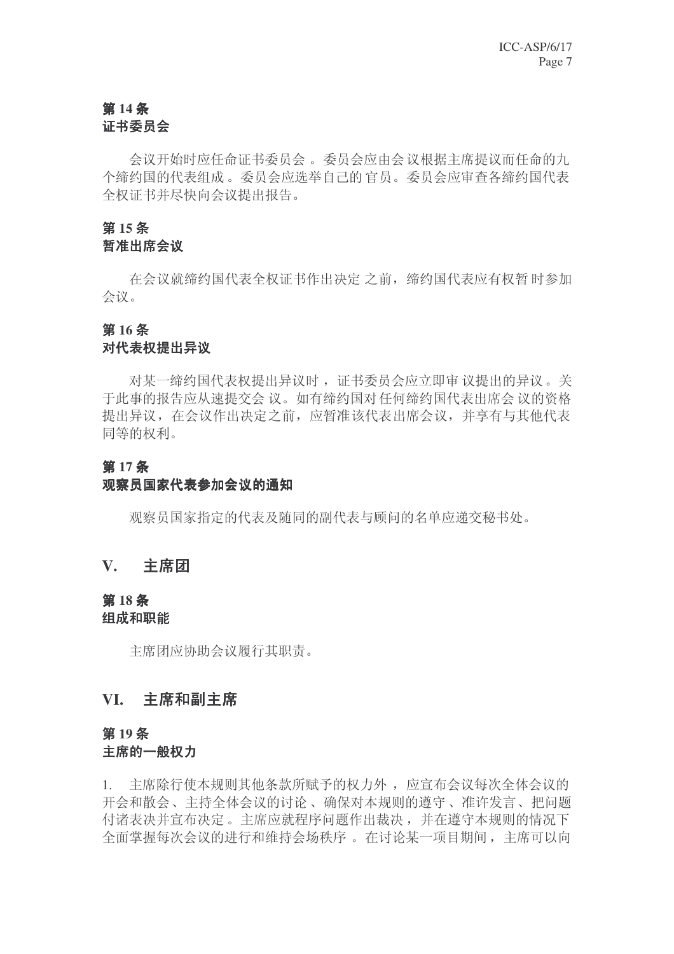# 第14条 证书委员会

会议开始时应任命证书委员会。委员会应由会议根据主席提议而任命的九 个缔约国的代表组成。委员会应选举自己的官员。委员会应审查各缔约国代表 全权证书并尽快向会议提出报告。

# 第15条

# 暂准出席会议

在会议就缔约国代表全权证书作出决定 之前, 缔约国代表应有权暂 时参加 会议。

# 第16条

# 对代表权提出异议

对某一缔约国代表权提出异议时, 证书委员会应立即审议提出的异议。关 于此事的报告应从速提交会 议。如有缔约国对任何缔约国代表出席会 议的资格 提出异议, 在会议作出决定之前, 应暂准该代表出席会议, 并享有与其他代表 同等的权利。

# 第17条

### 观察员国家代表参加会议的通知

观察员国家指定的代表及随同的副代表与顾问的名单应递交秘书处。

# **V.** 主席团

## 第18条 组成和职能

主席团应协助会议履行其职责。

# **VI.** 主席和副主席

# 第19条 主席的一般权力

1. 主席除行使本规则其他条款所赋予的权力外, 应宣布会议每次全体会议的 开会和散会、主持全体会议的讨论、确保对本规则的遵守、准许发言、把问题 付诸表决并宣布决定。主席应就程序问题作出裁决,并在遵守本规则的情况下 全面掌握每次会议的进行和维持会场秩序。在讨论某一项目期间, 主席可以向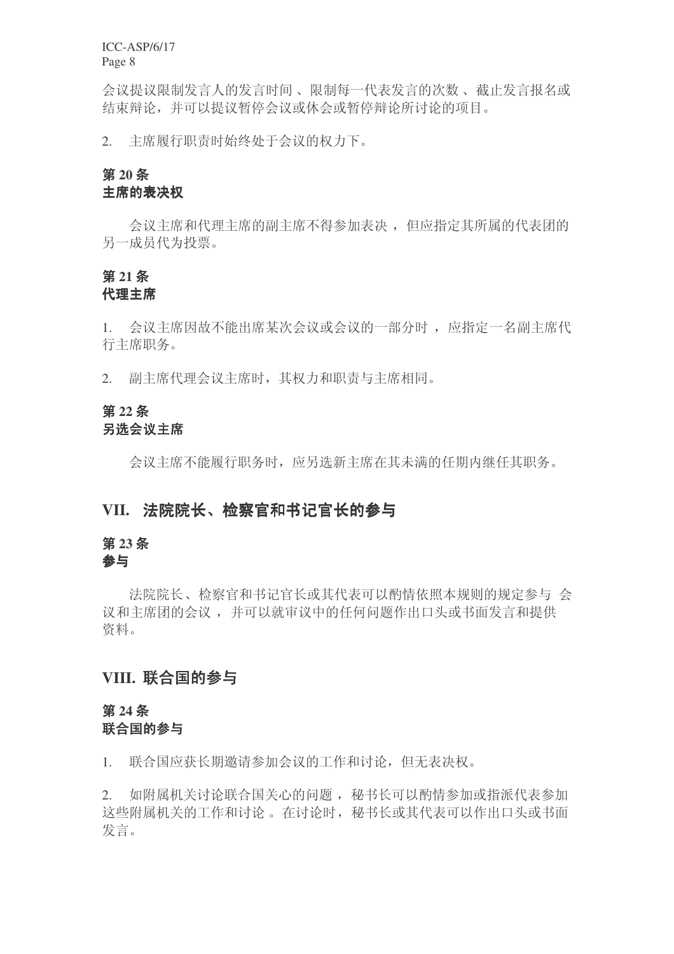会议提议限制发言人的发言时间、限制每一代表发言的次数、截止发言报名或 结束辩论,并可以提议暂停会议或休会或暂停辩论所讨论的项目。

2. 主席履行职责时始终处于会议的权力下。

# 第20条

# 主席的表决权

会议主席和代理主席的副主席不得参加表决, 但应指定其所属的代表团的 另一成员代为投票。

# 第21条

# 代理主席

1. 会议主席因故不能出席某次会议或会议的一部分时, 应指定一名副主席代 行主席职务。

2. 副主席代理会议主席时, 其权力和职责与主席相同。

# 第22条

# 另洗会议主席

会议主席不能履行职务时, 应另选新主席在其未满的任期内继任其职务。

# VII. 法院院长、检察官和书记官长的参与

# 第23条

# 参与

法院院长、检察官和书记官长或其代表可以酌情依照本规则的规定参与 会 议和主席团的会议,并可以就审议中的任何问题作出口头或书面发言和提供 资料。

# VIII. 联合国的参与

# 第24条 联合国的参与

1. 联合国应获长期邀请参加会议的工作和讨论, 但无表决权。

2. 如附属机关讨论联合国关心的问题, 秘书长可以酌情参加或指派代表参加 这些附属机关的工作和讨论。 在讨论时, 秘书长或其代表可以作出口头或书面 发言。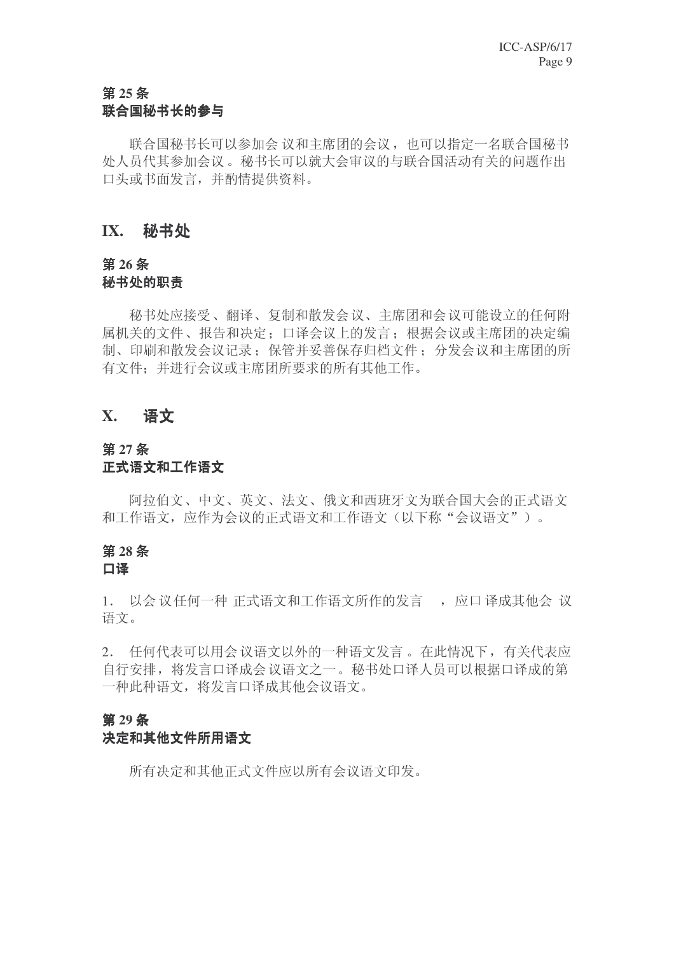# 第25条 联合国秘书长的参与

联合国秘书长可以参加会议和主席团的会议,也可以指定一名联合国秘书 处人员代其参加会议。秘书长可以就大会审议的与联合国活动有关的问题作出 口头或书面发言,并酌情提供资料。

# **IX.** 秘书处

### 第26条 秘书处的职责

秘书处应接受、翻译、复制和散发会议、主席团和会议可能设立的任何附 属机关的文件、报告和决定: 口译会议上的发言: 根据会议或主席团的决定编 制、印刷和散发会议记录: 保管并妥善保存归档文件: 分发会议和主席团的所 有文件: 并讲行会议或主席团所要求的所有其他工作。

# **X.** 䇁᭛

### 第27条 正式语文和工作语文

阿拉伯文、中文、英文、法文、俄文和西班牙文为联合国大会的正式语文 和工作语文, 应作为会议的正式语文和工作语文(以下称"会议语文")。

# 第28条

# 口译

1. 以会议任何一种 正式语文和工作语文所作的发言 , 应口译成其他会 议 语文。

2. 任何代表可以用会议语文以外的一种语文发言。在此情况下,有关代表应 自行安排, 将发言口译成会议语文之一。秘书处口译人员可以根据口译成的第 一种此种语文, 将发言口译成其他会议语文。

# 第29条

# 决定和其他文件所用语文

所有决定和其他正式文件应以所有会议语文印发。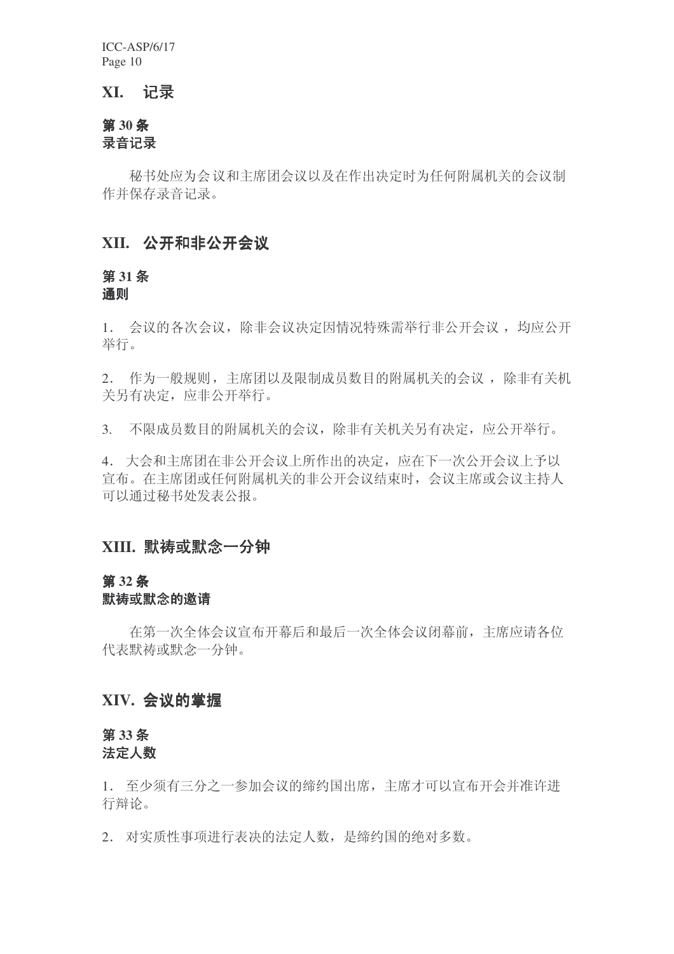## **XI.** 䆄ᔩ

# **30** ᴵ 录音记录

秘书处应为会议和主席团会议以及在作出决定时为任何附属机关的会议制 作并保存录音记录。

# XII. 公开和非公开会议

### **31** ᴵ 通则

1. 会议的各次会议, 除非会议决定因情况特殊需举行非公开会议, 均应公开 举行。

2. 作为一般规则,主席团以及限制成员数目的附属机关的会议,除非有关机 关另有决定, 应非公开举行。

3. 不限成员数目的附属机关的会议,除非有关机关另有决定,应公开举行。

4. 大会和主席团在非公开会议上所作出的决定, 应在下一次公开会议上予以 官布。在主席团或任何附属机关的非公开会议结束时, 会议主席或会议主持人 可以通过秘书处发表公报。

# XIII. 默祷或默念一分钟

### **32** ᴵ

#### 默祷或默念的邀请

在第一次全体会议宣布开幕后和最后一次全体会议闭幕前, 主席应请各位 代表默祷或默念一分钟。

# XIV. 会议的堂握

### **33** ᴵ 法定人数

1. 至少须有三分之一参加会议的缔约国出席, 主席才可以宣布开会并准许进 行辩论。

2. 对实质性事项进行表决的法定人数, 是缔约国的绝对多数。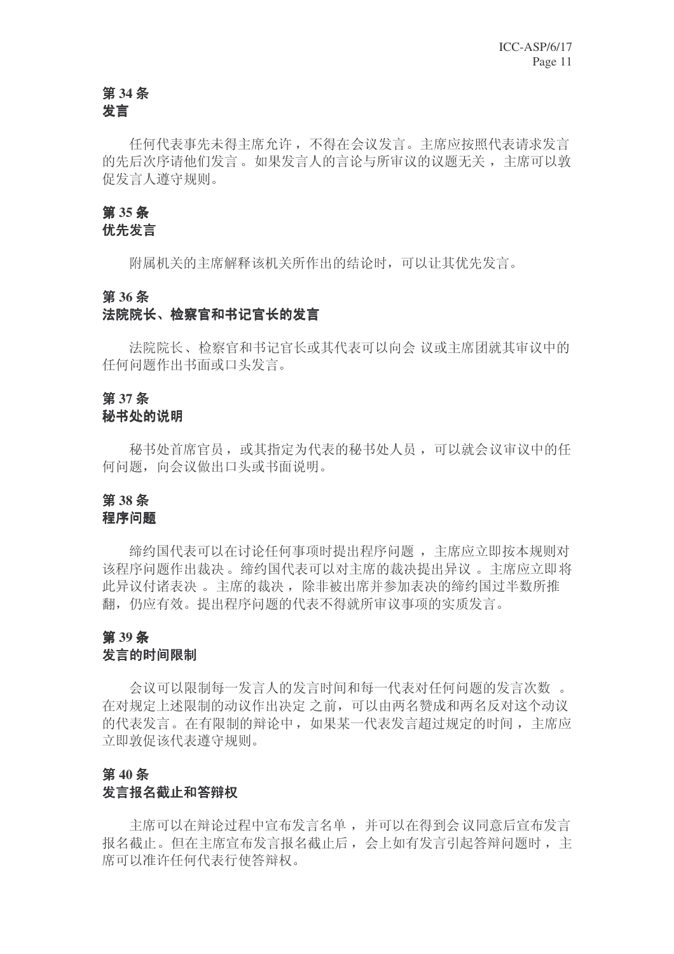# 第34条

# 发言

任何代表事先未得主席允许, 不得在会议发言。主席应按照代表请求发言 的先后次序请他们发言。如果发言人的言论与所审议的议题无关, 主席可以敦 促发言人遵守规则。

#### **35** ᴵ

# 优先发言

附属机关的主席解释该机关所作出的结论时,可以让其优先发言。

### **36** ᴵ

# 法院院长、检察官和书记官长的发言

法院院长、检察官和书记官长或其代表可以向会 议或主席团就其审议中的 任何问题作出书面或口头发言。

# 第37条

# 秘书处的说明

秘书处首席官员, 或其指定为代表的秘书处人员, 可以就会议审议中的任 何问题, 向会议做出口头或书面说明。

### **38** ᴵ 程序问题

缔约国代表可以在讨论任何事项时提出程序问题, 主席应立即按本规则对 该程序问题作出栽决。缔约国代表可以对主席的裁决提出异议。主席应立即将 此异议付诸表决 。主席的裁决, 除非被出席并参加表决的缔约国过半数所推 翻, 仍应有效。提出程序问题的代表不得就所审议事项的实质发言。

### 第39条

#### 发言的时间限制

会议可以限制每一发言人的发言时间和每一代表对任何问题的发言次数。 在对规定上述限制的动议作出决定之前,可以由两名赞成和两名反对这个动议 的代表发言。在有限制的辩论中, 如果某一代表发言超过规定的时间, 主席应 立即敦促该代表遵守规则。

### 第40条 发言报名截止和答辩权

主席可以在辩论过程中宣布发言名单,并可以在得到会议同意后宣布发言 报名截止。但在主席宣布发言报名截止后, 会上如有发言引起答辩问题时, 主 席可以准许任何代表行使答辩权。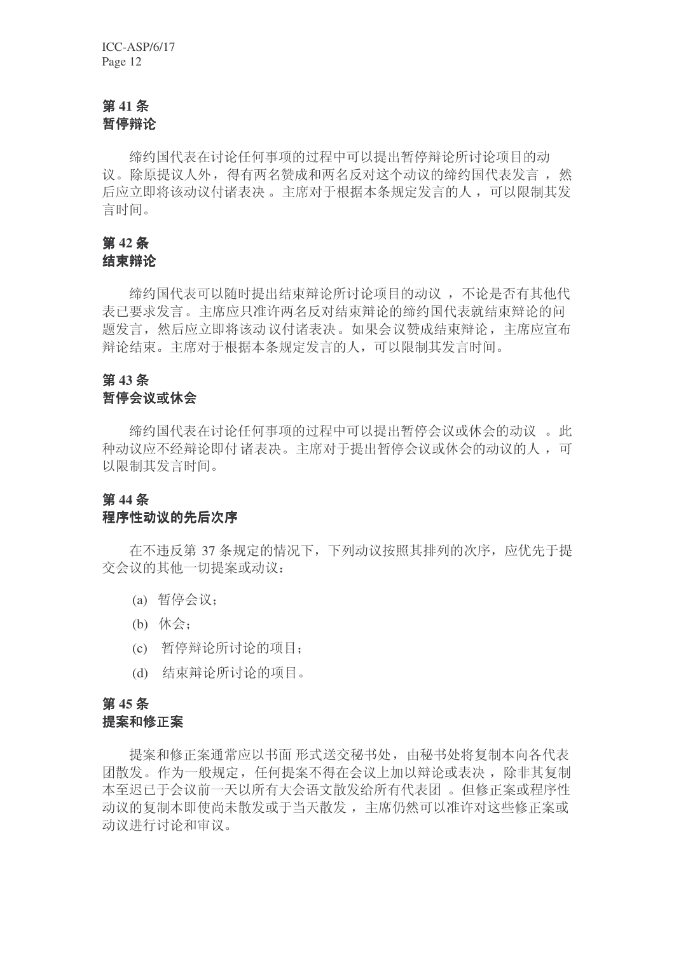# 第41条 暂停辩论

缔约国代表在讨论任何事项的过程中可以提出暂停辩论所讨论项目的动 议。除原提议人外, 得有两名赞成和两名反对这个动议的缔约国代表发言, 然 后应立即将该动议付诸表决。主席对于根据本条规定发言的人,可以限制其发 言时间。

# **第42条**

结束辩论

缔约国代表可以随时提出结束辩论所讨论项目的动议,不论是否有其他代 表已要求发言。主席应只准许两名反对结束辩论的缔约国代表就结束辩论的问 题发言, 然后应立即将该动议付诸表决。如果会议赞成结束辩论, 主席应宣布 辩论结束。主席对于根据本条规定发言的人,可以限制其发言时间。

# **43** ᴵ

# 暂停会议或休会

缔约国代表在讨论任何事项的过程中可以提出暂停会议或休会的动议。此 种动议应不经辩论即付诸表决。主席对于提出暂停会议或休会的动议的人,可 以限制其发言时间。

# 第44条

# 程序性动议的先后次序

在不违反第37条规定的情况下,下列动议按照其排列的次序,应优先干提 交会议的其他一切提案或动议:

- (a) 暂停会议:
- $(b)$  休会:
- (c) 暂停辩论所讨论的项目:
- (d) 结束辩论所讨论的项目。

# 第45条

### 提案和修正案

提案和修正案通常应以书面 形式送交秘书处, 由秘书处将复制本向各代表 团散发。作为一般规定,任何提案不得在会议上加以辩论或表决, 除非其复制 本至迟已于会议前一天以所有大会语文散发给所有代表团。但修正案或程序性 动议的复制本即使尚未散发或于当天散发, 主席仍然可以准许对这些修正案或 动议讲行讨论和审议。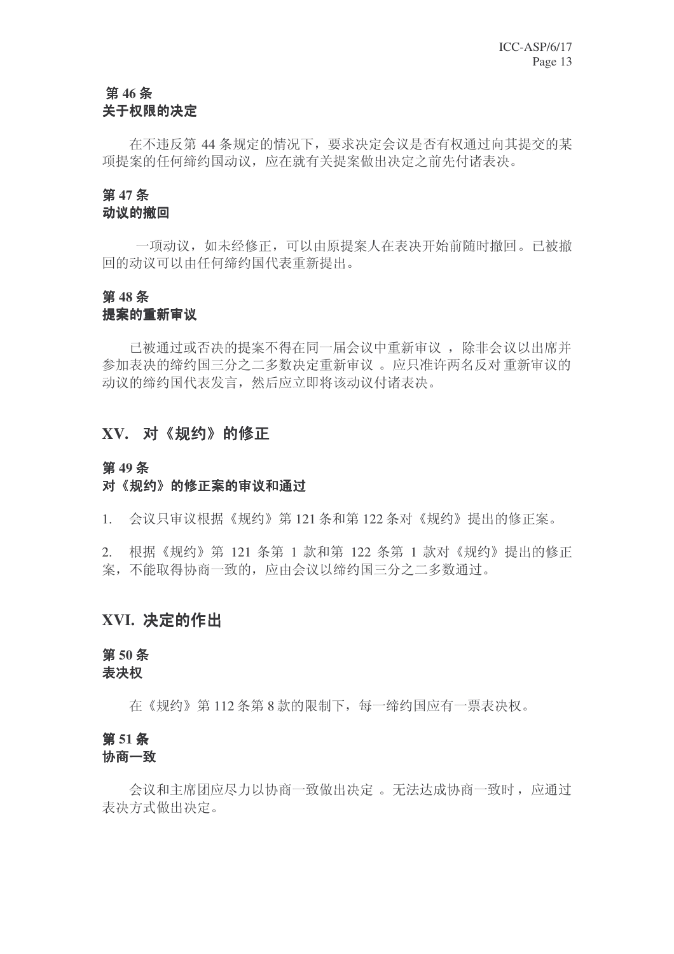# 第46条 关于权限的决定

在不违反第44 条规定的情况下,要求决定会议是否有权通过向其提交的某 项提案的任何缔约国动议, 应在就有关提案做出决定之前先付诸表决。

#### **47** ᴵ

# 动议的撤回

一项动议, 如未经修正, 可以由原提案人在表决开始前随时撤回。已被撤 回的动议可以由任何缔约国代表重新提出。

# **48** ᴵ

# 提案的重新审议

已被通过或否决的提案不得在同一届会议中重新审议,除非会议以出席并 参加表决的缔约国三分之二多数决定重新审议。应只准许两名反对重新审议的 动议的缔约国代表发言, 然后应立即将该动议付诸表决。

# XV. 对《规约》的修正

#### 第49条

# 对《规约》的修正案的审议和通过

1. 会议只审议根据《规约》第121 条和第122 条对《规约》提出的修正案。

 $2.$  根据《规约》第 121 条第 1 款和第 122 条第 1 款对《规约》提出的修正 案,不能取得协商一致的,应由会议以缔约国三分之二多数通过。

# XVI. 决定的作出

### 第50条 表决权

在《规约》第112 条第 8 款的限制下, 每一缔约国应有一票表决权。

# 第51条

#### 协商一致

会议和主席团应尽力以协商一致做出决定。 无法达成协商一致时, 应通过 表决方式做出决定。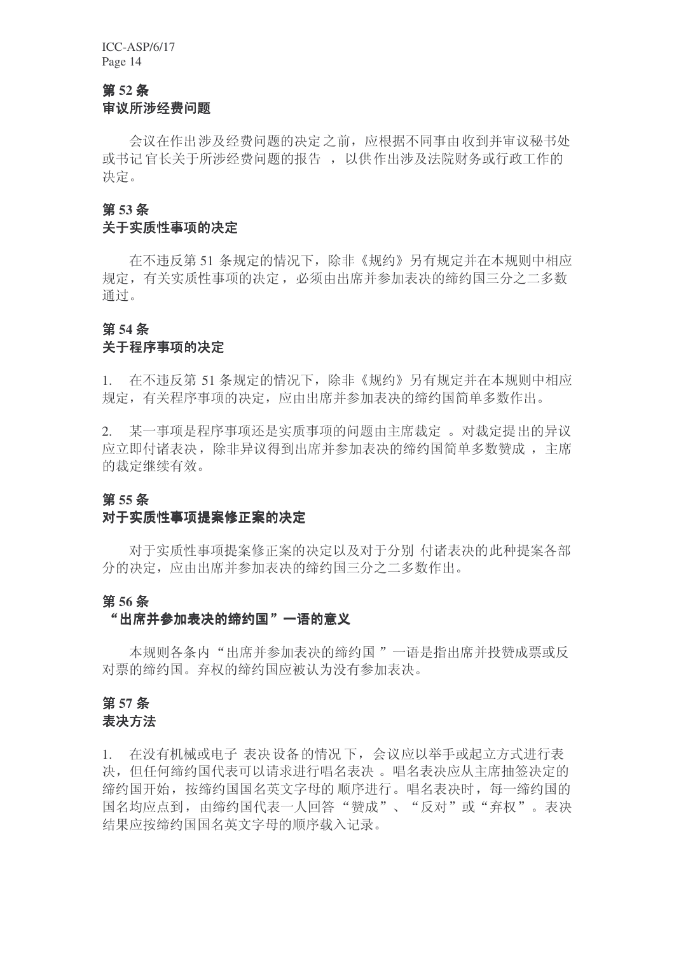# 第52条 宙议所涉经费问题

会议在作出涉及经费问题的决定之前, 应根据不同事由收到并审议秘书处 或书记官长关于所涉经费问题的报告, 以供作出涉及法院财务或行政工作的 决定。

## **53** ᴵ

#### 关于实质性事项的决定

在不违反第51 条规定的情况下,除非《规约》另有规定并在本规则中相应 规定, 有关实质性事项的决定, 必须由出席并参加表决的缔约国三分之二多数 通过。

#### **54** ᴵ

#### 关于程序事项的决定

1. 在不违反第 51 条规定的情况下,除非《规约》另有规定并在本规则中相应 规定, 有关程序事项的决定, 应由出席并参加表决的缔约国简单多数作出。

2. 某一事项是程序事项还是实质事项的问题由主席裁定。对裁定提出的异议 应立即付诸表决, 除非异议得到出席并参加表决的缔约国简单多数赞成, 主席 的裁定继续有效。

#### 第55条

#### 对于实质性事项提案修正案的决定

对于实质性事项提案修正案的决定以及对于分别 付诸表决的此种提案各部 分的决定, 应由出席并参加表决的缔约国三分之二多数作出。

#### 第56条

#### "出席并参加表决的缔约国"一语的意义

本规则各条内"出席并参加表决的缔约国"一语是指出席并投赞成票或反 对票的缔约国。弃权的缔约国应被认为没有参加表决。

# **57** ᴵ

# 表决方法

1. 在没有机械或电子 表决设备的情况下, 会议应以举手或起立方式进行表 决,但任何缔约国代表可以请求进行唱名表决。唱名表决应从主席抽签决定的 缔约国开始, 按缔约国国名英文字母的顺序进行。唱名表决时, 每一缔约国的 国名均应点到, 由缔约国代表一人回答"赞成"、"反对"或"弃权"。表决 结果应按缔约国国名英文字母的顺序载入记录。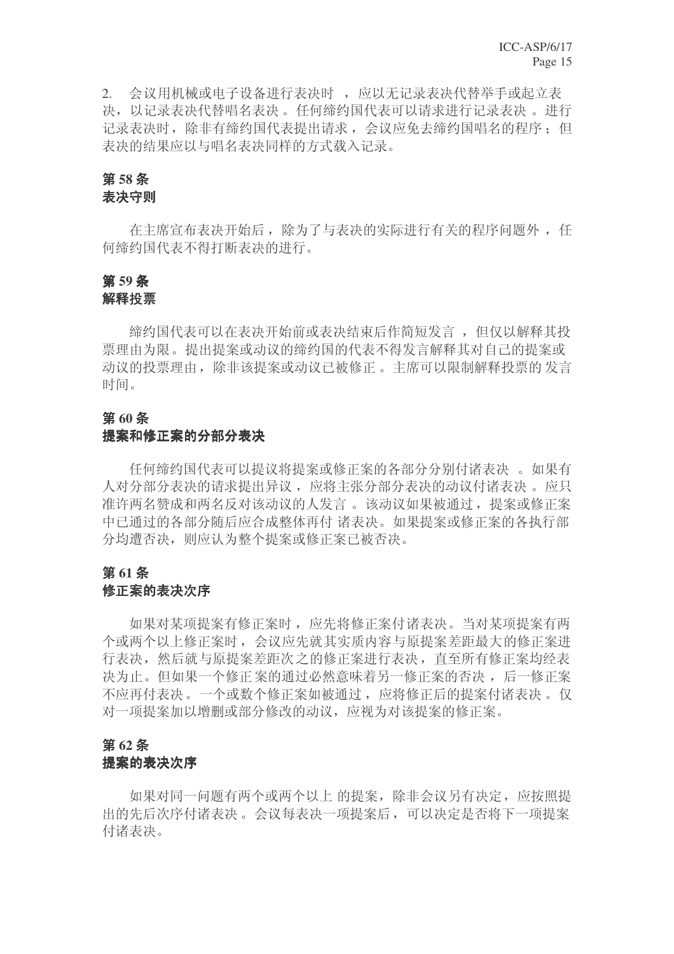2. 会议用机械或电子设备进行表决时,应以无记录表决代替举手或起立表 决, 以记录表决代替唱名表决。仟何缔约国代表可以请求进行记录表决。 讲行 记录表决时, 除非有缔约国代表提出请求, 会议应免去缔约国唱名的程序; 但 表决的结果应以与唱名表决同样的方式载入记录。

# **58** ᴵ

# 表决守则

在主席宣布表决开始后, 除为了与表决的实际进行有关的程序问题外, 任 何缔约国代表不得打断表决的讲行。

### 第59条 解释投票

缔约国代表可以在表决开始前或表决结束后作简短发言, 但仅以解释其投 票理由为限。提出提案或动议的缔约国的代表不得发言解释其对自己的提案或 动议的投票理由, 除非该提案或动议已被修正。主席可以限制解释投票的发言 时间。

### 第60条

#### 提案和修正案的分部分表决

任何缔约国代表可以提议将提案或修正案的各部分分别付诸表决。如果有 人对分部分表决的请求提出异议, 应将主张分部分表决的动议付诸表决 。 应只 准许两名赞成和两名反对该动议的人发言。该动议如果被通过, 提案或修正案 中已通过的各部分随后应合成整体再付 诸表决。如果提案或修正案的各执行部 分均遭否决, 则应认为整个提案或修正案已被否决。

# 第61条

# 修正案的表决次序

如果对某项提案有修正案时, 应先将修正案付诸表决。当对某项提案有两 个或两个以上修正案时, 会议应先就其实质内容与原提案差距最大的修正案进 行表决, 然后就与原提案差距次之的修正案进行表决, 直至所有修正案均经表 决为止。但如果一个修正案的通过必然意味着另一修正案的否决, 后一修正案 不应再付表决。一个或数个修正案如被通过, 应将修正后的提案付诸表决。仅 对一项提案加以增删或部分修改的动议, 应视为对该提案的修正案。

## 第62条

#### 提案的表决次序

如果对同一问题有两个或两个以上 的提案, 除非会议另有决定, 应按照提 出的先后次序付诸表决。会议每表决一项提案后,可以决定是否将下一项提案 付诸表决。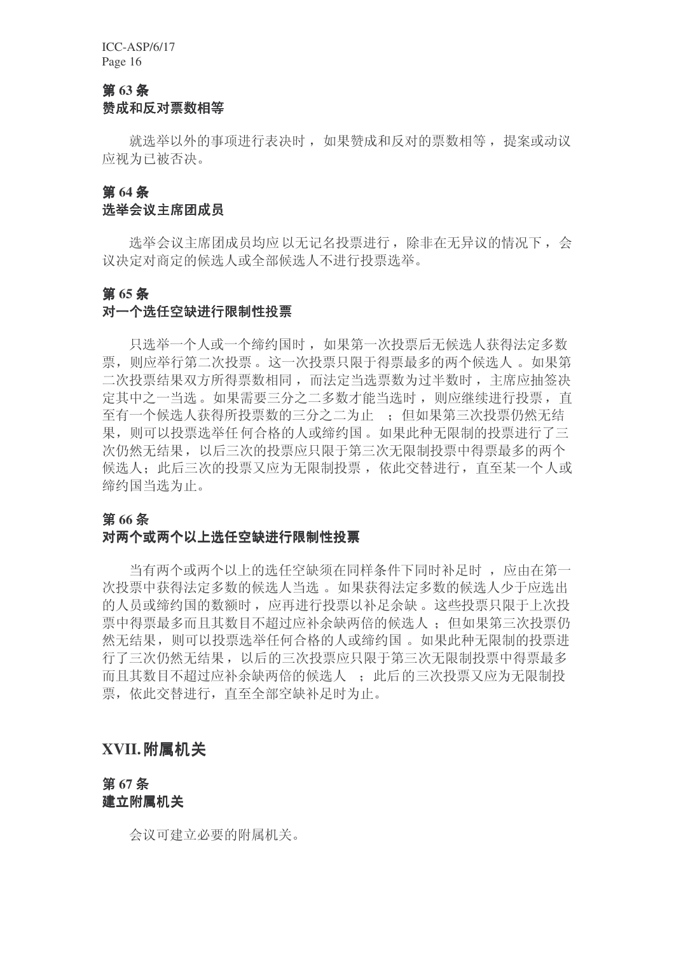# 第63条 赞成和反对票数相等

就选举以外的事项进行表决时, 如果赞成和反对的票数相等, 提案或动议 应视为已被否决。

#### 第64条

#### 选举会议主席团成员

选举会议主席团成员均应以无记名投票进行, 除非在无异议的情况下, 会 议决定对商定的候选人或全部候选人不进行投票选举。

#### 第65条

#### 对一个选任空缺进行限制性投票

只选举一个人或一个缔约国时, 如果第一次投票后无候选人获得法定多数 票, 则应举行第二次投票。这一次投票只限于得票最多的两个候选人。如果第 二次投票结果双方所得票数相同, 而法定当选票数为过半数时, 主席应抽签决 定其中之一当选。如果需要三分之二多数才能当选时, 则应继续进行投票, 直 至有一个候选人获得所投票数的三分之二为止:: 但如果第三次投票仍然无结 果, 则可以投票选举任何合格的人或缔约国。如果此种无限制的投票进行了三 次仍然无结果, 以后三次的投票应只限于第三次无限制投票中得票最多的两个 候选人: 此后三次的投票又应为无限制投票, 依此交替进行, 直至某一个人或 缔约国当选为止。

### 第66条

### 对两个或两个以上选任空缺进行限制性投票

当有两个或两个以上的选任空缺须在同样条件下同时补足时, 应由在第一 次投票中获得法定多数的候选人当选。如果获得法定多数的候选人少于应选出 的人员或缔约国的数额时, 应再进行投票以补足余缺。这些投票只限于上次投 票中得票最多而且其数目不超过应补余缺两倍的候选人: 但如果第三次投票仍 然无结果, 则可以投票选举任何合格的人或缔约国。如果此种无限制的投票讲 行了三次仍然无结果,以后的三次投票应只限于第三次无限制投票中得票最多 而且其数目不超过应补余缺两倍的候选人, 此后的三次投票又应为无限制投 票, 依此交替进行, 直至全部空缺补足时为止。

# **XVII.附属机关**

### 第67条 建立附属机关

会议可建立必要的附属机关。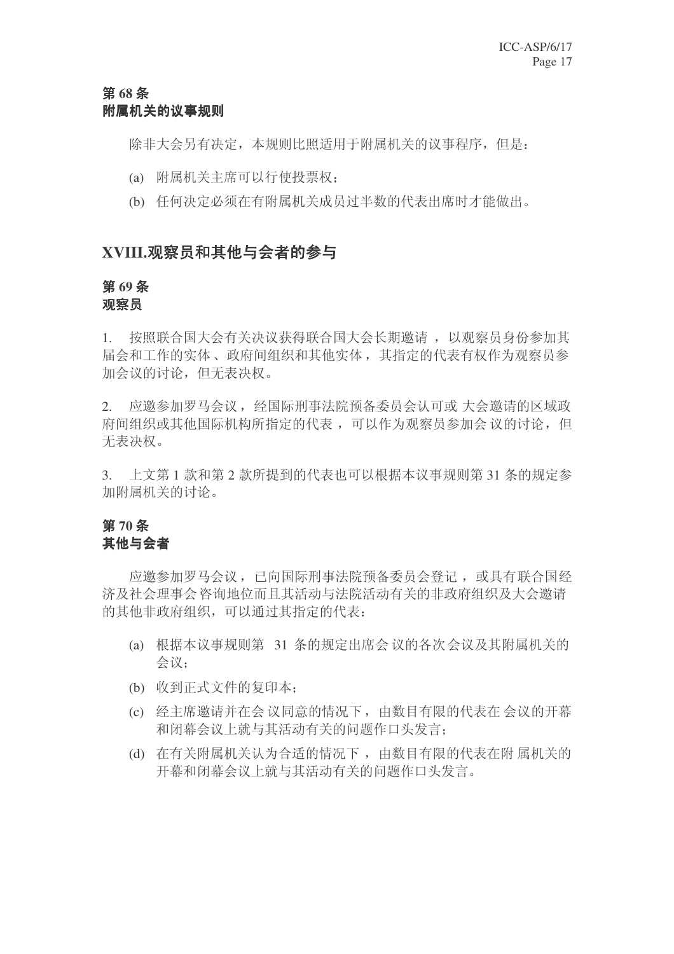# 第68条 附属机关的议事规则

除非大会另有决定,本规则比照适用于附属机关的议事程序,但是:

- (a) 附属机关主席可以行使投票权:
- (b) 任何决定必须在有附属机关成员过半数的代表出席时才能做出。

# XVIII.观察员和其他与会者的参与

#### 第69条 观察员

1. 按照联合国大会有关决议获得联合国大会长期邀请, 以观察员身份参加其 届会和工作的实体、政府间组织和其他实体, 其指定的代表有权作为观察员参 加会议的讨论,但无表决权。

2. 应邀参加罗马会议, 经国际刑事法院预备委员会认可或 大会邀请的区域政 府间组织或其他国际机构所指定的代表,可以作为观察员参加会议的讨论,但 无表决权。

3. 上文第1款和第2款所提到的代表也可以根据本议事规则第31条的规定参 加附属机关的讨论。

# 第70条 其他与会者

应邀参加罗马会议,已向国际刑事法院预备委员会登记,或具有联合国经 济及社会理事会咨询地位而且其活动与法院活动有关的非政府组织及大会邀请 的其他非政府组织,可以通过其指定的代表:

- (a) 根据本议事规则第 31 条的规定出席会议的各次会议及其附属机关的 会议:
- (b) 收到正式文件的复印本;
- (c) 经主席邀请并在会议同意的情况下, 由数目有限的代表在 会议的开幕 和闭幕会议上就与其活动有关的问题作口头发言:
- (d) 在有关附属机关认为合适的情况下, 由数目有限的代表在附属机关的 开幕和闭幕会议上就与其活动有关的问题作口头发言。